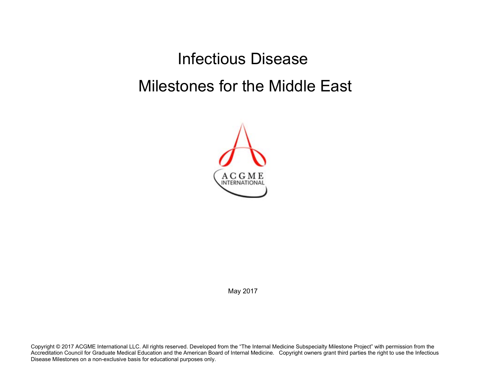Infectious Disease Milestones for the Middle East



May 2017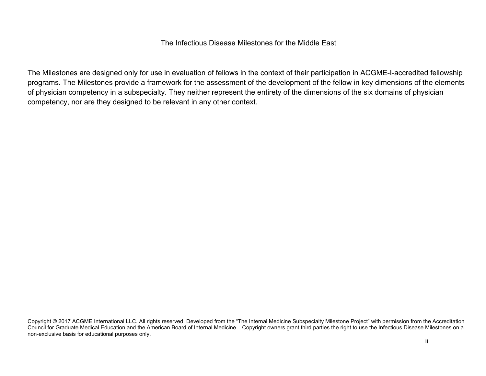## The Infectious Disease Milestones for the Middle East

The Milestones are designed only for use in evaluation of fellows in the context of their participation in ACGME-I-accredited fellowship programs. The Milestones provide a framework for the assessment of the development of the fellow in key dimensions of the elements of physician competency in a subspecialty. They neither represent the entirety of the dimensions of the six domains of physician competency, nor are they designed to be relevant in any other context.

Copyright © 2017 ACGME International LLC. All rights reserved. Developed from the "The Internal Medicine Subspecialty Milestone Project" with permission from the Accreditation Council for Graduate Medical Education and the American Board of Internal Medicine. Copyright owners grant third parties the right to use the Infectious Disease Milestones on a non-exclusive basis for educational purposes only.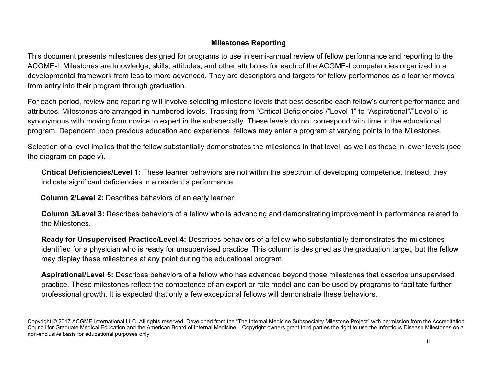## **Milestones Reporting**

This document presents milestones designed for programs to use in semi-annual review of fellow performance and reporting to the ACGME-I. Milestones are knowledge, skills, attitudes, and other attributes for each of the ACGME-I competencies organized in a developmental framework from less to more advanced. They are descriptors and targets for fellow performance as a learner moves from entry into their program through graduation.

For each period, review and reporting will involve selecting milestone levels that best describe each fellow's current performance and attributes. Milestones are arranged in numbered levels. Tracking from "Critical Deficiencies"/"Level 1" to "Aspirational"/"Level 5" is synonymous with moving from novice to expert in the subspecialty. These levels do not correspond with time in the educational program. Dependent upon previous education and experience, fellows may enter a program at varying points in the Milestones.

Selection of a level implies that the fellow substantially demonstrates the milestones in that level, as well as those in lower levels (see the diagram on page v).

**Critical Deficiencies/Level 1:** These learner behaviors are not within the spectrum of developing competence. Instead, they indicate significant deficiencies in a resident's performance.

 **Column 2/Level 2:** Describes behaviors of an early learner.

**Column 3/Level 3:** Describes behaviors of a fellow who is advancing and demonstrating improvement in performance related to the Milestones.

**Ready for Unsupervised Practice/Level 4:** Describes behaviors of a fellow who substantially demonstrates the milestones identified for a physician who is ready for unsupervised practice. This column is designed as the graduation target, but the fellow may display these milestones at any point during the educational program.

**Aspirational/Level 5:** Describes behaviors of a fellow who has advanced beyond those milestones that describe unsupervised practice. These milestones reflect the competence of an expert or role model and can be used by programs to facilitate further professional growth. It is expected that only a few exceptional fellows will demonstrate these behaviors.

Copyright © 2017 ACGME International LLC. All rights reserved. Developed from the "The Internal Medicine Subspecialty Milestone Project" with permission from the Accreditation Council for Graduate Medical Education and the American Board of Internal Medicine. Copyright owners grant third parties the right to use the Infectious Disease Milestones on a non-exclusive basis for educational purposes only.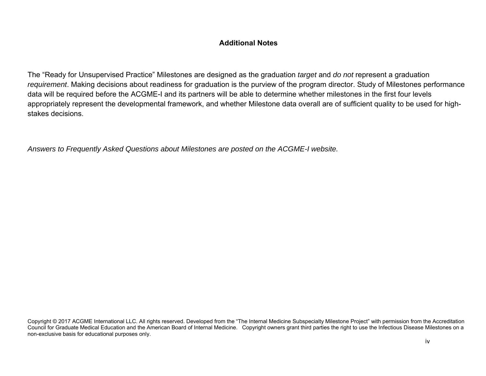## **Additional Notes**

The "Ready for Unsupervised Practice" Milestones are designed as the graduation *target* and *do not* represent a graduation *requirement*. Making decisions about readiness for graduation is the purview of the program director. Study of Milestones performance data will be required before the ACGME-I and its partners will be able to determine whether milestones in the first four levels appropriately represent the developmental framework, and whether Milestone data overall are of sufficient quality to be used for highstakes decisions.

*Answers to Frequently Asked Questions about Milestones are posted on the ACGME-I website.*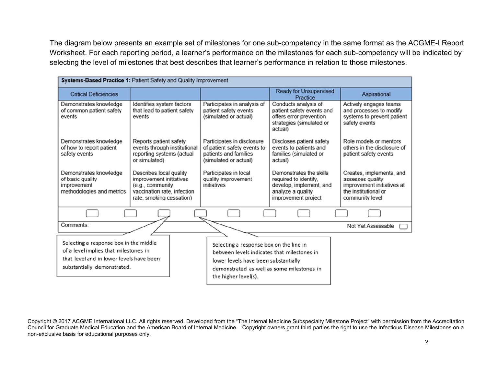The diagram below presents an example set of milestones for one sub-competency in the same format as the ACGME-I Report Worksheet. For each reporting period, a learner's performance on the milestones for each sub-competency will be indicated by selecting the level of milestones that best describes that learner's performance in relation to those milestones.

| Systems-Based Practice 1: Patient Safety and Quality Improvement                                                                                           |                                                                                                                                   |                                                                                                                                                                                                      |                                                                                                                         |                                                                                                                       |  |
|------------------------------------------------------------------------------------------------------------------------------------------------------------|-----------------------------------------------------------------------------------------------------------------------------------|------------------------------------------------------------------------------------------------------------------------------------------------------------------------------------------------------|-------------------------------------------------------------------------------------------------------------------------|-----------------------------------------------------------------------------------------------------------------------|--|
| <b>Critical Deficiencies</b>                                                                                                                               |                                                                                                                                   |                                                                                                                                                                                                      | <b>Ready for Unsupervised</b><br>Practice                                                                               | Aspirational                                                                                                          |  |
| Demonstrates knowledge<br>of common patient safety<br>events                                                                                               | Identifies system factors<br>that lead to patient safety<br>events                                                                | Participates in analysis of<br>patient safety events<br>(simulated or actual)                                                                                                                        | Conducts analysis of<br>patient safety events and<br>offers error prevention<br>strategies (simulated or<br>actual)     | Actively engages teams<br>and processes to modify<br>systems to prevent patient<br>safety events                      |  |
| Demonstrates knowledge<br>of how to report patient<br>safety events                                                                                        | Reports patient safety<br>events through institutional<br>reporting systems (actual<br>or simulated)                              | Participates in disclosure<br>of patient safety events to<br>patients and families<br>(simulated or actual)                                                                                          | Discloses patient safety<br>events to patients and<br>families (simulated or<br>actual)                                 | Role models or mentors<br>others in the disclosure of<br>patient safety events                                        |  |
| Demonstrates knowledge<br>of basic quality<br>improvement<br>methodologies and metrics                                                                     | Describes local quality<br>improvement initiatives<br>(e.g., community<br>vaccination rate, infection<br>rate, smoking cessation) | Participates in local<br>quality improvement<br>initiatives                                                                                                                                          | Demonstrates the skills<br>required to identify.<br>develop, implement, and<br>analyze a quality<br>improvement project | Creates, implements, and<br>assesses quality<br>improvement initiatives at<br>the institutional or<br>community level |  |
|                                                                                                                                                            |                                                                                                                                   |                                                                                                                                                                                                      |                                                                                                                         |                                                                                                                       |  |
| Comments:                                                                                                                                                  |                                                                                                                                   |                                                                                                                                                                                                      |                                                                                                                         | Not Yet Assessable                                                                                                    |  |
| Selecting a response box in the middle<br>of a level implies that milestones in<br>that level and in lower levels have been<br>substantially demonstrated. |                                                                                                                                   | Selecting a response box on the line in<br>between levels indicates that milestones in<br>lower levels have been substantially<br>demonstrated as well as some milestones in<br>the higher level(s). |                                                                                                                         |                                                                                                                       |  |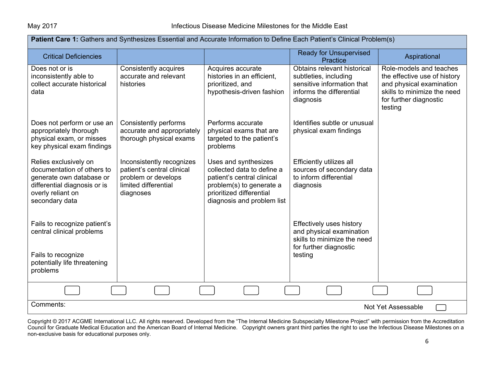| Patient Care 1: Gathers and Synthesizes Essential and Accurate Information to Define Each Patient's Clinical Problem(s)                                |                                                                                                                     |                                                                                                                                                                        |                                                                                                                             |                                                                                                                                                         |  |
|--------------------------------------------------------------------------------------------------------------------------------------------------------|---------------------------------------------------------------------------------------------------------------------|------------------------------------------------------------------------------------------------------------------------------------------------------------------------|-----------------------------------------------------------------------------------------------------------------------------|---------------------------------------------------------------------------------------------------------------------------------------------------------|--|
| <b>Critical Deficiencies</b>                                                                                                                           |                                                                                                                     |                                                                                                                                                                        | <b>Ready for Unsupervised</b><br><b>Practice</b>                                                                            | Aspirational                                                                                                                                            |  |
| Does not or is<br>inconsistently able to<br>collect accurate historical<br>data                                                                        | Consistently acquires<br>accurate and relevant<br>histories                                                         | Acquires accurate<br>histories in an efficient,<br>prioritized, and<br>hypothesis-driven fashion                                                                       | Obtains relevant historical<br>subtleties, including<br>sensitive information that<br>informs the differential<br>diagnosis | Role-models and teaches<br>the effective use of history<br>and physical examination<br>skills to minimize the need<br>for further diagnostic<br>testing |  |
| Does not perform or use an<br>appropriately thorough<br>physical exam, or misses<br>key physical exam findings                                         | Consistently performs<br>accurate and appropriately<br>thorough physical exams                                      | Performs accurate<br>physical exams that are<br>targeted to the patient's<br>problems                                                                                  | Identifies subtle or unusual<br>physical exam findings                                                                      |                                                                                                                                                         |  |
| Relies exclusively on<br>documentation of others to<br>generate own database or<br>differential diagnosis or is<br>overly reliant on<br>secondary data | Inconsistently recognizes<br>patient's central clinical<br>problem or develops<br>limited differential<br>diagnoses | Uses and synthesizes<br>collected data to define a<br>patient's central clinical<br>problem(s) to generate a<br>prioritized differential<br>diagnosis and problem list | Efficiently utilizes all<br>sources of secondary data<br>to inform differential<br>diagnosis                                |                                                                                                                                                         |  |
| Fails to recognize patient's<br>central clinical problems                                                                                              |                                                                                                                     |                                                                                                                                                                        | <b>Effectively uses history</b><br>and physical examination<br>skills to minimize the need<br>for further diagnostic        |                                                                                                                                                         |  |
| Fails to recognize<br>potentially life threatening<br>problems                                                                                         |                                                                                                                     |                                                                                                                                                                        | testing                                                                                                                     |                                                                                                                                                         |  |
|                                                                                                                                                        |                                                                                                                     |                                                                                                                                                                        |                                                                                                                             |                                                                                                                                                         |  |
| Comments:                                                                                                                                              |                                                                                                                     |                                                                                                                                                                        |                                                                                                                             | Not Yet Assessable                                                                                                                                      |  |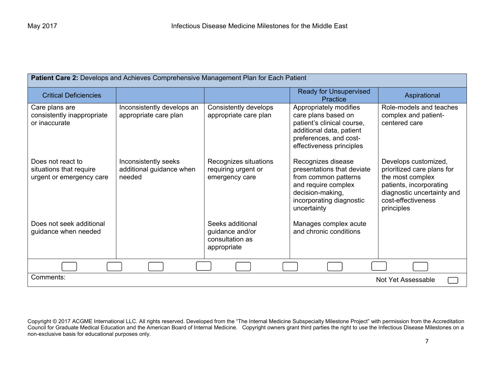| Patient Care 2: Develops and Achieves Comprehensive Management Plan for Each Patient |                                                            |                                                                       |                                                                                                                                                                |                                                                                                                                                                     |
|--------------------------------------------------------------------------------------|------------------------------------------------------------|-----------------------------------------------------------------------|----------------------------------------------------------------------------------------------------------------------------------------------------------------|---------------------------------------------------------------------------------------------------------------------------------------------------------------------|
| <b>Critical Deficiencies</b>                                                         |                                                            |                                                                       | <b>Ready for Unsupervised</b><br>Practice                                                                                                                      | Aspirational                                                                                                                                                        |
| Care plans are<br>consistently inappropriate<br>or inaccurate                        | Inconsistently develops an<br>appropriate care plan        | Consistently develops<br>appropriate care plan                        | Appropriately modifies<br>care plans based on<br>patient's clinical course,<br>additional data, patient<br>preferences, and cost-<br>effectiveness principles  | Role-models and teaches<br>complex and patient-<br>centered care                                                                                                    |
| Does not react to<br>situations that require<br>urgent or emergency care             | Inconsistently seeks<br>additional guidance when<br>needed | Recognizes situations<br>requiring urgent or<br>emergency care        | Recognizes disease<br>presentations that deviate<br>from common patterns<br>and require complex<br>decision-making,<br>incorporating diagnostic<br>uncertainty | Develops customized,<br>prioritized care plans for<br>the most complex<br>patients, incorporating<br>diagnostic uncertainty and<br>cost-effectiveness<br>principles |
| Does not seek additional<br>guidance when needed                                     |                                                            | Seeks additional<br>guidance and/or<br>consultation as<br>appropriate | Manages complex acute<br>and chronic conditions                                                                                                                |                                                                                                                                                                     |
|                                                                                      |                                                            |                                                                       |                                                                                                                                                                |                                                                                                                                                                     |
| Comments:<br>Not Yet Assessable                                                      |                                                            |                                                                       |                                                                                                                                                                |                                                                                                                                                                     |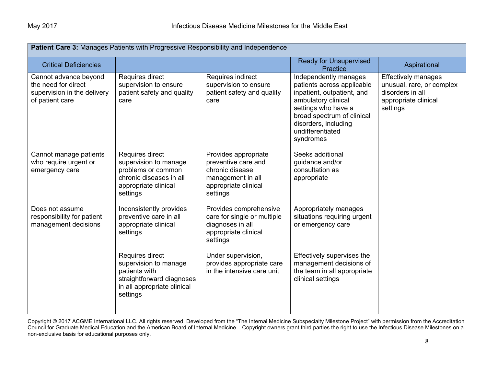| Patient Care 3: Manages Patients with Progressive Responsibility and Independence              |                                                                                                                                   |                                                                                                                         |                                                                                                                                                                                                                        |                                                                                                                 |
|------------------------------------------------------------------------------------------------|-----------------------------------------------------------------------------------------------------------------------------------|-------------------------------------------------------------------------------------------------------------------------|------------------------------------------------------------------------------------------------------------------------------------------------------------------------------------------------------------------------|-----------------------------------------------------------------------------------------------------------------|
| <b>Critical Deficiencies</b>                                                                   |                                                                                                                                   |                                                                                                                         | <b>Ready for Unsupervised</b><br>Practice                                                                                                                                                                              | Aspirational                                                                                                    |
| Cannot advance beyond<br>the need for direct<br>supervision in the delivery<br>of patient care | Requires direct<br>supervision to ensure<br>patient safety and quality<br>care                                                    | Requires indirect<br>supervision to ensure<br>patient safety and quality<br>care                                        | Independently manages<br>patients across applicable<br>inpatient, outpatient, and<br>ambulatory clinical<br>settings who have a<br>broad spectrum of clinical<br>disorders, including<br>undifferentiated<br>syndromes | <b>Effectively manages</b><br>unusual, rare, or complex<br>disorders in all<br>appropriate clinical<br>settings |
| Cannot manage patients<br>who require urgent or<br>emergency care                              | Requires direct<br>supervision to manage<br>problems or common<br>chronic diseases in all<br>appropriate clinical<br>settings     | Provides appropriate<br>preventive care and<br>chronic disease<br>management in all<br>appropriate clinical<br>settings | Seeks additional<br>guidance and/or<br>consultation as<br>appropriate                                                                                                                                                  |                                                                                                                 |
| Does not assume<br>responsibility for patient<br>management decisions                          | Inconsistently provides<br>preventive care in all<br>appropriate clinical<br>settings                                             | Provides comprehensive<br>care for single or multiple<br>diagnoses in all<br>appropriate clinical<br>settings           | Appropriately manages<br>situations requiring urgent<br>or emergency care                                                                                                                                              |                                                                                                                 |
|                                                                                                | Requires direct<br>supervision to manage<br>patients with<br>straightforward diagnoses<br>in all appropriate clinical<br>settings | Under supervision,<br>provides appropriate care<br>in the intensive care unit                                           | Effectively supervises the<br>management decisions of<br>the team in all appropriate<br>clinical settings                                                                                                              |                                                                                                                 |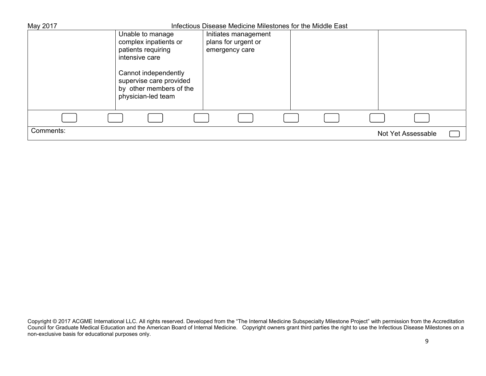| May 2017  |                                                                                                  | Infectious Disease Medicine Milestones for the Middle East |                    |
|-----------|--------------------------------------------------------------------------------------------------|------------------------------------------------------------|--------------------|
|           | Unable to manage                                                                                 | Initiates management                                       |                    |
|           | complex inpatients or                                                                            | plans for urgent or                                        |                    |
|           | patients requiring                                                                               | emergency care                                             |                    |
|           | intensive care                                                                                   |                                                            |                    |
|           | Cannot independently<br>supervise care provided<br>by other members of the<br>physician-led team |                                                            |                    |
|           |                                                                                                  |                                                            |                    |
| Comments: |                                                                                                  |                                                            | Not Yet Assessable |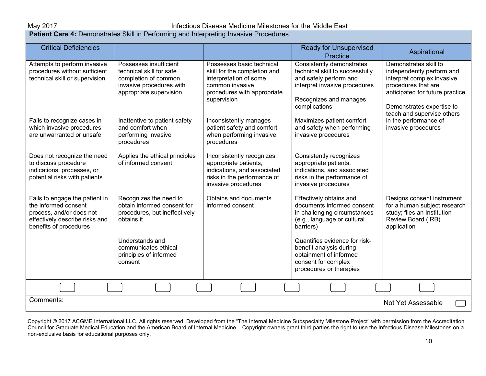## May 2017 **Infectious Disease Medicine Milestones for the Middle East**

**Patient Care 4: Demonstrates Skill in Performing and Interpreting Invasive Procedures** 

| <b>Critical Deficiencies</b>                                                                                                                   |                                                                                                                                   |                                                                                                                                                      | <b>Ready for Unsupervised</b><br>Practice                                                                                                                          | Aspirational                                                                                                                                                                                          |  |  |
|------------------------------------------------------------------------------------------------------------------------------------------------|-----------------------------------------------------------------------------------------------------------------------------------|------------------------------------------------------------------------------------------------------------------------------------------------------|--------------------------------------------------------------------------------------------------------------------------------------------------------------------|-------------------------------------------------------------------------------------------------------------------------------------------------------------------------------------------------------|--|--|
| Attempts to perform invasive<br>procedures without sufficient<br>technical skill or supervision                                                | Possesses insufficient<br>technical skill for safe<br>completion of common<br>invasive procedures with<br>appropriate supervision | Possesses basic technical<br>skill for the completion and<br>interpretation of some<br>common invasive<br>procedures with appropriate<br>supervision | Consistently demonstrates<br>technical skill to successfully<br>and safely perform and<br>interpret invasive procedures<br>Recognizes and manages<br>complications | Demonstrates skill to<br>independently perform and<br>interpret complex invasive<br>procedures that are<br>anticipated for future practice<br>Demonstrates expertise to<br>teach and supervise others |  |  |
| Fails to recognize cases in<br>which invasive procedures<br>are unwarranted or unsafe                                                          | Inattentive to patient safety<br>and comfort when<br>performing invasive<br>procedures                                            | Inconsistently manages<br>patient safety and comfort<br>when performing invasive<br>procedures                                                       | Maximizes patient comfort<br>and safety when performing<br>invasive procedures                                                                                     | in the performance of<br>invasive procedures                                                                                                                                                          |  |  |
| Does not recognize the need<br>to discuss procedure<br>indications, processes, or<br>potential risks with patients                             | Applies the ethical principles<br>of informed consent                                                                             | Inconsistently recognizes<br>appropriate patients,<br>indications, and associated<br>risks in the performance of<br>invasive procedures              | Consistently recognizes<br>appropriate patients,<br>indications, and associated<br>risks in the performance of<br>invasive procedures                              |                                                                                                                                                                                                       |  |  |
| Fails to engage the patient in<br>the informed consent<br>process, and/or does not<br>effectively describe risks and<br>benefits of procedures | Recognizes the need to<br>obtain informed consent for<br>procedures, but ineffectively<br>obtains it                              | Obtains and documents<br>informed consent                                                                                                            | Effectively obtains and<br>documents informed consent<br>in challenging circumstances<br>(e.g., language or cultural<br>barriers)                                  | Designs consent instrument<br>for a human subject research<br>study; files an Institution<br>Review Board (IRB)<br>application                                                                        |  |  |
|                                                                                                                                                | Understands and<br>communicates ethical<br>principles of informed<br>consent                                                      |                                                                                                                                                      | Quantifies evidence for risk-<br>benefit analysis during<br>obtainment of informed<br>consent for complex<br>procedures or therapies                               |                                                                                                                                                                                                       |  |  |
|                                                                                                                                                |                                                                                                                                   |                                                                                                                                                      |                                                                                                                                                                    |                                                                                                                                                                                                       |  |  |
| Comments:                                                                                                                                      | Not Yet Assessable                                                                                                                |                                                                                                                                                      |                                                                                                                                                                    |                                                                                                                                                                                                       |  |  |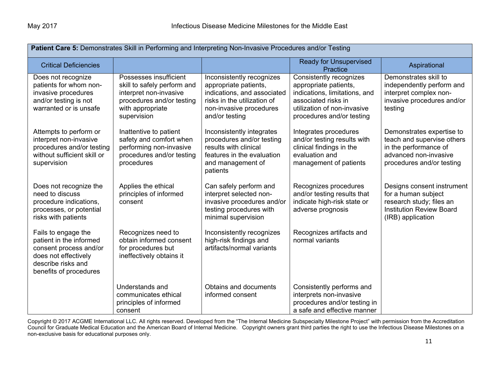| Patient Care 5: Demonstrates Skill in Performing and Interpreting Non-Invasive Procedures and/or Testing                                         |                                                                                                                                                 |                                                                                                                                                               |                                                                                                                                                                      |                                                                                                                                        |
|--------------------------------------------------------------------------------------------------------------------------------------------------|-------------------------------------------------------------------------------------------------------------------------------------------------|---------------------------------------------------------------------------------------------------------------------------------------------------------------|----------------------------------------------------------------------------------------------------------------------------------------------------------------------|----------------------------------------------------------------------------------------------------------------------------------------|
| <b>Critical Deficiencies</b>                                                                                                                     |                                                                                                                                                 |                                                                                                                                                               | <b>Ready for Unsupervised</b><br>Practice                                                                                                                            | Aspirational                                                                                                                           |
| Does not recognize<br>patients for whom non-<br>invasive procedures<br>and/or testing is not<br>warranted or is unsafe                           | Possesses insufficient<br>skill to safely perform and<br>interpret non-invasive<br>procedures and/or testing<br>with appropriate<br>supervision | Inconsistently recognizes<br>appropriate patients,<br>indications, and associated<br>risks in the utilization of<br>non-invasive procedures<br>and/or testing | Consistently recognizes<br>appropriate patients,<br>indications, limitations, and<br>associated risks in<br>utilization of non-invasive<br>procedures and/or testing | Demonstrates skill to<br>independently perform and<br>interpret complex non-<br>invasive procedures and/or<br>testing                  |
| Attempts to perform or<br>interpret non-invasive<br>procedures and/or testing<br>without sufficient skill or<br>supervision                      | Inattentive to patient<br>safety and comfort when<br>performing non-invasive<br>procedures and/or testing<br>procedures                         | Inconsistently integrates<br>procedures and/or testing<br>results with clinical<br>features in the evaluation<br>and management of<br>patients                | Integrates procedures<br>and/or testing results with<br>clinical findings in the<br>evaluation and<br>management of patients                                         | Demonstrates expertise to<br>teach and supervise others<br>in the performance of<br>advanced non-invasive<br>procedures and/or testing |
| Does not recognize the<br>need to discuss<br>procedure indications,<br>processes, or potential<br>risks with patients                            | Applies the ethical<br>principles of informed<br>consent                                                                                        | Can safely perform and<br>interpret selected non-<br>invasive procedures and/or<br>testing procedures with<br>minimal supervision                             | Recognizes procedures<br>and/or testing results that<br>indicate high-risk state or<br>adverse prognosis                                                             | Designs consent instrument<br>for a human subject<br>research study; files an<br><b>Institution Review Board</b><br>(IRB) application  |
| Fails to engage the<br>patient in the informed<br>consent process and/or<br>does not effectively<br>describe risks and<br>benefits of procedures | Recognizes need to<br>obtain informed consent<br>for procedures but<br>ineffectively obtains it                                                 | Inconsistently recognizes<br>high-risk findings and<br>artifacts/normal variants                                                                              | Recognizes artifacts and<br>normal variants                                                                                                                          |                                                                                                                                        |
|                                                                                                                                                  | Understands and<br>communicates ethical<br>principles of informed<br>consent                                                                    | Obtains and documents<br>informed consent                                                                                                                     | Consistently performs and<br>interprets non-invasive<br>procedures and/or testing in<br>a safe and effective manner                                                  |                                                                                                                                        |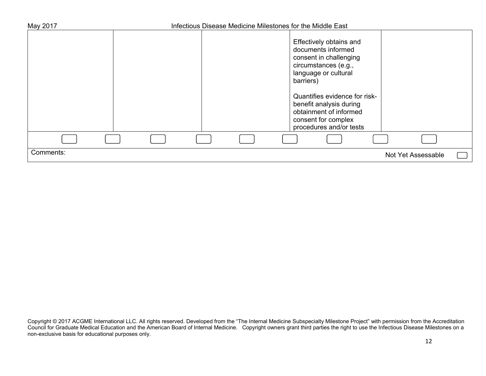| May 2017  | Infectious Disease Medicine Milestones for the Middle East |                                                                                                                                      |                    |  |
|-----------|------------------------------------------------------------|--------------------------------------------------------------------------------------------------------------------------------------|--------------------|--|
|           |                                                            | Effectively obtains and<br>documents informed<br>consent in challenging<br>circumstances (e.g.,<br>language or cultural<br>barriers) |                    |  |
|           |                                                            | Quantifies evidence for risk-<br>benefit analysis during<br>obtainment of informed<br>consent for complex<br>procedures and/or tests |                    |  |
|           |                                                            |                                                                                                                                      |                    |  |
| Comments: |                                                            |                                                                                                                                      | Not Yet Assessable |  |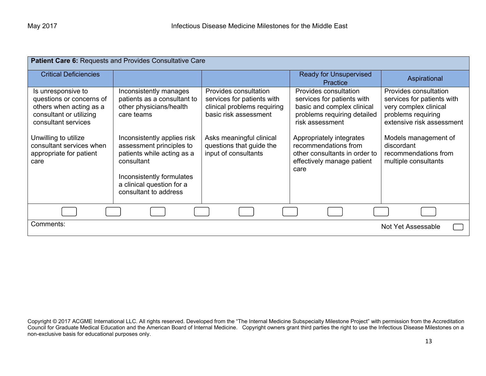| Patient Care 6: Requests and Provides Consultative Care                                                                     |                                                                                                                                                                                        |                                                                                                             |                                                                                                                                     |                                                                                                                                 |
|-----------------------------------------------------------------------------------------------------------------------------|----------------------------------------------------------------------------------------------------------------------------------------------------------------------------------------|-------------------------------------------------------------------------------------------------------------|-------------------------------------------------------------------------------------------------------------------------------------|---------------------------------------------------------------------------------------------------------------------------------|
| <b>Critical Deficiencies</b>                                                                                                |                                                                                                                                                                                        |                                                                                                             | <b>Ready for Unsupervised</b><br>Practice                                                                                           | Aspirational                                                                                                                    |
| Is unresponsive to<br>questions or concerns of<br>others when acting as a<br>consultant or utilizing<br>consultant services | Inconsistently manages<br>patients as a consultant to<br>other physicians/health<br>care teams                                                                                         | Provides consultation<br>services for patients with<br>clinical problems requiring<br>basic risk assessment | Provides consultation<br>services for patients with<br>basic and complex clinical<br>problems requiring detailed<br>risk assessment | Provides consultation<br>services for patients with<br>very complex clinical<br>problems requiring<br>extensive risk assessment |
| Unwilling to utilize<br>consultant services when<br>appropriate for patient<br>care                                         | Inconsistently applies risk<br>assessment principles to<br>patients while acting as a<br>consultant<br>Inconsistently formulates<br>a clinical question for a<br>consultant to address | Asks meaningful clinical<br>questions that guide the<br>input of consultants                                | Appropriately integrates<br>recommendations from<br>other consultants in order to<br>effectively manage patient<br>care             | Models management of<br>discordant<br>recommendations from<br>multiple consultants                                              |
|                                                                                                                             |                                                                                                                                                                                        |                                                                                                             |                                                                                                                                     |                                                                                                                                 |
| Comments:                                                                                                                   |                                                                                                                                                                                        |                                                                                                             |                                                                                                                                     | <b>Not Yet Assessable</b>                                                                                                       |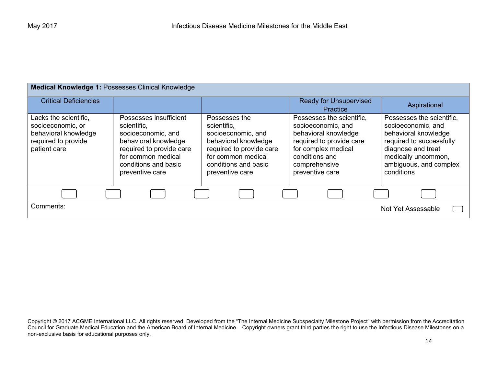| Medical Knowledge 1: Possesses Clinical Knowledge                                                         |                                                                                                                                                                                  |                                                                                                                                                                         |                                                                                                                                                                                  |                                                                                                                                                                                          |
|-----------------------------------------------------------------------------------------------------------|----------------------------------------------------------------------------------------------------------------------------------------------------------------------------------|-------------------------------------------------------------------------------------------------------------------------------------------------------------------------|----------------------------------------------------------------------------------------------------------------------------------------------------------------------------------|------------------------------------------------------------------------------------------------------------------------------------------------------------------------------------------|
| <b>Critical Deficiencies</b>                                                                              |                                                                                                                                                                                  |                                                                                                                                                                         | <b>Ready for Unsupervised</b><br>Practice                                                                                                                                        | Aspirational                                                                                                                                                                             |
| Lacks the scientific,<br>socioeconomic, or<br>behavioral knowledge<br>required to provide<br>patient care | Possesses insufficient<br>scientific.<br>socioeconomic, and<br>behavioral knowledge<br>required to provide care<br>for common medical<br>conditions and basic<br>preventive care | Possesses the<br>scientific.<br>socioeconomic, and<br>behavioral knowledge<br>required to provide care<br>for common medical<br>conditions and basic<br>preventive care | Possesses the scientific.<br>socioeconomic, and<br>behavioral knowledge<br>required to provide care<br>for complex medical<br>conditions and<br>comprehensive<br>preventive care | Possesses the scientific,<br>socioeconomic, and<br>behavioral knowledge<br>required to successfully<br>diagnose and treat<br>medically uncommon,<br>ambiguous, and complex<br>conditions |
|                                                                                                           |                                                                                                                                                                                  |                                                                                                                                                                         |                                                                                                                                                                                  |                                                                                                                                                                                          |
| Comments:                                                                                                 |                                                                                                                                                                                  |                                                                                                                                                                         |                                                                                                                                                                                  | Not Yet Assessable                                                                                                                                                                       |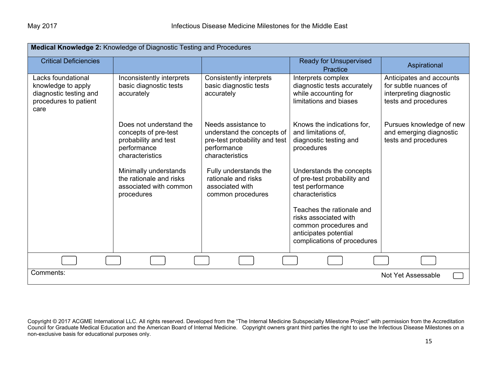| Medical Knowledge 2: Knowledge of Diagnostic Testing and Procedures                                 |                                                                                                           |                                                                                                                      |                                                                                                                                     |                                                                                                      |  |
|-----------------------------------------------------------------------------------------------------|-----------------------------------------------------------------------------------------------------------|----------------------------------------------------------------------------------------------------------------------|-------------------------------------------------------------------------------------------------------------------------------------|------------------------------------------------------------------------------------------------------|--|
| <b>Critical Deficiencies</b>                                                                        |                                                                                                           |                                                                                                                      | <b>Ready for Unsupervised</b><br>Practice                                                                                           | Aspirational                                                                                         |  |
| Lacks foundational<br>knowledge to apply<br>diagnostic testing and<br>procedures to patient<br>care | Inconsistently interprets<br>basic diagnostic tests<br>accurately                                         | Consistently interprets<br>basic diagnostic tests<br>accurately                                                      | Interprets complex<br>diagnostic tests accurately<br>while accounting for<br>limitations and biases                                 | Anticipates and accounts<br>for subtle nuances of<br>interpreting diagnostic<br>tests and procedures |  |
|                                                                                                     | Does not understand the<br>concepts of pre-test<br>probability and test<br>performance<br>characteristics | Needs assistance to<br>understand the concepts of<br>pre-test probability and test<br>performance<br>characteristics | Knows the indications for,<br>and limitations of.<br>diagnostic testing and<br>procedures                                           | Pursues knowledge of new<br>and emerging diagnostic<br>tests and procedures                          |  |
|                                                                                                     | Minimally understands<br>the rationale and risks<br>associated with common<br>procedures                  | Fully understands the<br>rationale and risks<br>associated with<br>common procedures                                 | Understands the concepts<br>of pre-test probability and<br>test performance<br>characteristics                                      |                                                                                                      |  |
|                                                                                                     |                                                                                                           |                                                                                                                      | Teaches the rationale and<br>risks associated with<br>common procedures and<br>anticipates potential<br>complications of procedures |                                                                                                      |  |
|                                                                                                     |                                                                                                           |                                                                                                                      |                                                                                                                                     |                                                                                                      |  |
| Comments:<br><b>Not Yet Assessable</b>                                                              |                                                                                                           |                                                                                                                      |                                                                                                                                     |                                                                                                      |  |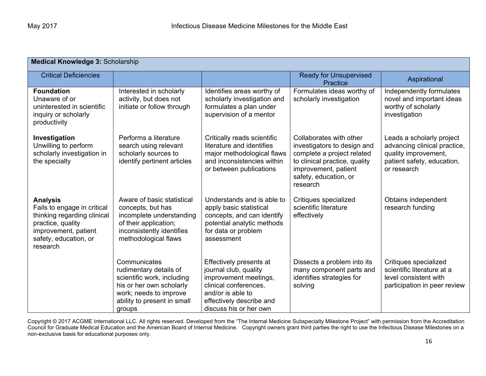| <b>Medical Knowledge 3: Scholarship</b>                                                                                                                         |                                                                                                                                                                     |                                                                                                                                                                               |                                                                                                                                                                                    |                                                                                                                                |
|-----------------------------------------------------------------------------------------------------------------------------------------------------------------|---------------------------------------------------------------------------------------------------------------------------------------------------------------------|-------------------------------------------------------------------------------------------------------------------------------------------------------------------------------|------------------------------------------------------------------------------------------------------------------------------------------------------------------------------------|--------------------------------------------------------------------------------------------------------------------------------|
| <b>Critical Deficiencies</b>                                                                                                                                    |                                                                                                                                                                     |                                                                                                                                                                               | <b>Ready for Unsupervised</b><br>Practice                                                                                                                                          | Aspirational                                                                                                                   |
| <b>Foundation</b><br>Unaware of or<br>uninterested in scientific<br>inquiry or scholarly<br>productivity                                                        | Interested in scholarly<br>activity, but does not<br>initiate or follow through                                                                                     | Identifies areas worthy of<br>scholarly investigation and<br>formulates a plan under<br>supervision of a mentor                                                               | Formulates ideas worthy of<br>scholarly investigation                                                                                                                              | Independently formulates<br>novel and important ideas<br>worthy of scholarly<br>investigation                                  |
| Investigation<br>Unwilling to perform<br>scholarly investigation in<br>the specialty                                                                            | Performs a literature<br>search using relevant<br>scholarly sources to<br>identify pertinent articles                                                               | Critically reads scientific<br>literature and identifies<br>major methodological flaws<br>and inconsistencies within<br>or between publications                               | Collaborates with other<br>investigators to design and<br>complete a project related<br>to clinical practice, quality<br>improvement, patient<br>safety, education, or<br>research | Leads a scholarly project<br>advancing clinical practice,<br>quality improvement,<br>patient safety, education,<br>or research |
| <b>Analysis</b><br>Fails to engage in critical<br>thinking regarding clinical<br>practice, quality<br>improvement, patient<br>safety, education, or<br>research | Aware of basic statistical<br>concepts, but has<br>incomplete understanding<br>of their application;<br>inconsistently identifies<br>methodological flaws           | Understands and is able to<br>apply basic statistical<br>concepts, and can identify<br>potential analytic methods<br>for data or problem<br>assessment                        | Critiques specialized<br>scientific literature<br>effectively                                                                                                                      | Obtains independent<br>research funding                                                                                        |
|                                                                                                                                                                 | Communicates<br>rudimentary details of<br>scientific work, including<br>his or her own scholarly<br>work; needs to improve<br>ability to present in small<br>groups | Effectively presents at<br>journal club, quality<br>improvement meetings,<br>clinical conferences.<br>and/or is able to<br>effectively describe and<br>discuss his or her own | Dissects a problem into its<br>many component parts and<br>identifies strategies for<br>solving                                                                                    | Critiques specialized<br>scientific literature at a<br>level consistent with<br>participation in peer review                   |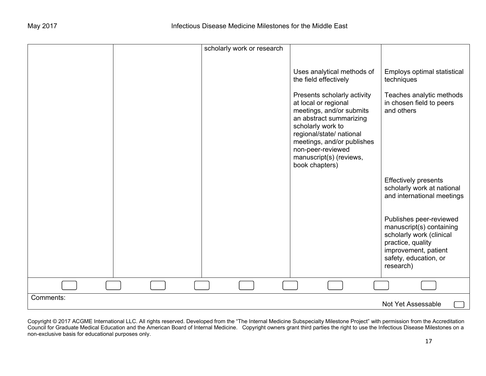|           | scholarly work or research |                                                                                                                                                                                                                                                                                                                    |                                                                                                                                                                    |
|-----------|----------------------------|--------------------------------------------------------------------------------------------------------------------------------------------------------------------------------------------------------------------------------------------------------------------------------------------------------------------|--------------------------------------------------------------------------------------------------------------------------------------------------------------------|
|           |                            | Uses analytical methods of<br>the field effectively<br>Presents scholarly activity<br>at local or regional<br>meetings, and/or submits<br>an abstract summarizing<br>scholarly work to<br>regional/state/ national<br>meetings, and/or publishes<br>non-peer-reviewed<br>manuscript(s) (reviews,<br>book chapters) | Employs optimal statistical<br>techniques<br>Teaches analytic methods<br>in chosen field to peers<br>and others                                                    |
|           |                            |                                                                                                                                                                                                                                                                                                                    | <b>Effectively presents</b><br>scholarly work at national<br>and international meetings                                                                            |
|           |                            |                                                                                                                                                                                                                                                                                                                    | Publishes peer-reviewed<br>manuscript(s) containing<br>scholarly work (clinical<br>practice, quality<br>improvement, patient<br>safety, education, or<br>research) |
|           |                            |                                                                                                                                                                                                                                                                                                                    |                                                                                                                                                                    |
| Comments: |                            |                                                                                                                                                                                                                                                                                                                    | Not Yet Assessable                                                                                                                                                 |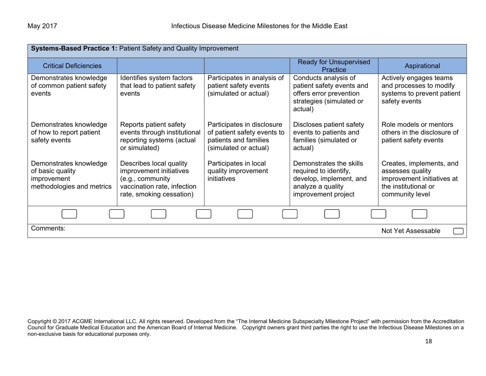| <b>Systems-Based Practice 1: Patient Safety and Quality Improvement</b>                |                                                                                                                                   |                                                                                                             |                                                                                                                         |                                                                                                                       |
|----------------------------------------------------------------------------------------|-----------------------------------------------------------------------------------------------------------------------------------|-------------------------------------------------------------------------------------------------------------|-------------------------------------------------------------------------------------------------------------------------|-----------------------------------------------------------------------------------------------------------------------|
| <b>Critical Deficiencies</b>                                                           |                                                                                                                                   |                                                                                                             | <b>Ready for Unsupervised</b><br>Practice                                                                               | Aspirational                                                                                                          |
| Demonstrates knowledge<br>of common patient safety<br>events                           | Identifies system factors<br>that lead to patient safety<br>events                                                                | Participates in analysis of<br>patient safety events<br>(simulated or actual)                               | Conducts analysis of<br>patient safety events and<br>offers error prevention<br>strategies (simulated or<br>actual)     | Actively engages teams<br>and processes to modify<br>systems to prevent patient<br>safety events                      |
| Demonstrates knowledge<br>of how to report patient<br>safety events                    | Reports patient safety<br>events through institutional<br>reporting systems (actual<br>or simulated)                              | Participates in disclosure<br>of patient safety events to<br>patients and families<br>(simulated or actual) | Discloses patient safety<br>events to patients and<br>families (simulated or<br>actual)                                 | Role models or mentors<br>others in the disclosure of<br>patient safety events                                        |
| Demonstrates knowledge<br>of basic quality<br>improvement<br>methodologies and metrics | Describes local quality<br>improvement initiatives<br>(e.g., community<br>vaccination rate, infection<br>rate, smoking cessation) | Participates in local<br>quality improvement<br>initiatives                                                 | Demonstrates the skills<br>required to identify,<br>develop, implement, and<br>analyze a quality<br>improvement project | Creates, implements, and<br>assesses quality<br>improvement initiatives at<br>the institutional or<br>community level |
|                                                                                        |                                                                                                                                   |                                                                                                             |                                                                                                                         |                                                                                                                       |
| Comments:                                                                              |                                                                                                                                   |                                                                                                             |                                                                                                                         | Not Yet Assessable                                                                                                    |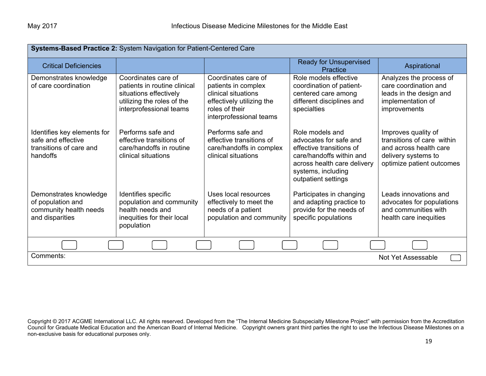| Systems-Based Practice 2: System Navigation for Patient-Centered Care                    |                                                                                                                                        |                                                                                                                                             |                                                                                                                                                                               |                                                                                                                                 |  |
|------------------------------------------------------------------------------------------|----------------------------------------------------------------------------------------------------------------------------------------|---------------------------------------------------------------------------------------------------------------------------------------------|-------------------------------------------------------------------------------------------------------------------------------------------------------------------------------|---------------------------------------------------------------------------------------------------------------------------------|--|
| <b>Critical Deficiencies</b>                                                             |                                                                                                                                        |                                                                                                                                             | <b>Ready for Unsupervised</b><br>Practice                                                                                                                                     | Aspirational                                                                                                                    |  |
| Demonstrates knowledge<br>of care coordination                                           | Coordinates care of<br>patients in routine clinical<br>situations effectively<br>utilizing the roles of the<br>interprofessional teams | Coordinates care of<br>patients in complex<br>clinical situations<br>effectively utilizing the<br>roles of their<br>interprofessional teams | Role models effective<br>coordination of patient-<br>centered care among<br>different disciplines and<br>specialties                                                          | Analyzes the process of<br>care coordination and<br>leads in the design and<br>implementation of<br>improvements                |  |
| Identifies key elements for<br>safe and effective<br>transitions of care and<br>handoffs | Performs safe and<br>effective transitions of<br>care/handoffs in routine<br>clinical situations                                       | Performs safe and<br>effective transitions of<br>care/handoffs in complex<br>clinical situations                                            | Role models and<br>advocates for safe and<br>effective transitions of<br>care/handoffs within and<br>across health care delivery<br>systems, including<br>outpatient settings | Improves quality of<br>transitions of care within<br>and across health care<br>delivery systems to<br>optimize patient outcomes |  |
| Demonstrates knowledge<br>of population and<br>community health needs<br>and disparities | Identifies specific<br>population and community<br>health needs and<br>inequities for their local<br>population                        | Uses local resources<br>effectively to meet the<br>needs of a patient<br>population and community                                           | Participates in changing<br>and adapting practice to<br>provide for the needs of<br>specific populations                                                                      | Leads innovations and<br>advocates for populations<br>and communities with<br>health care inequities                            |  |
|                                                                                          |                                                                                                                                        |                                                                                                                                             |                                                                                                                                                                               |                                                                                                                                 |  |
| Comments:                                                                                | Not Yet Assessable                                                                                                                     |                                                                                                                                             |                                                                                                                                                                               |                                                                                                                                 |  |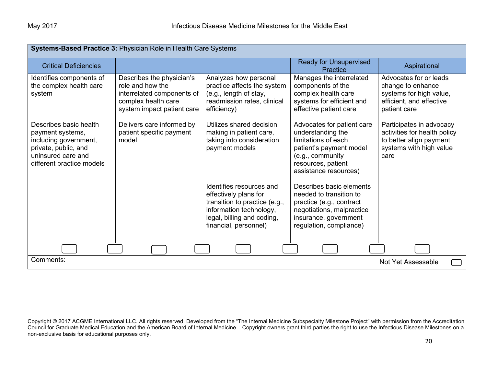| Systems-Based Practice 3: Physician Role in Health Care Systems                                                                                |                                                                                                                                  |                                                                                                                                                                      |                                                                                                                                                                      |                                                                                                                        |  |
|------------------------------------------------------------------------------------------------------------------------------------------------|----------------------------------------------------------------------------------------------------------------------------------|----------------------------------------------------------------------------------------------------------------------------------------------------------------------|----------------------------------------------------------------------------------------------------------------------------------------------------------------------|------------------------------------------------------------------------------------------------------------------------|--|
| <b>Critical Deficiencies</b>                                                                                                                   |                                                                                                                                  |                                                                                                                                                                      | <b>Ready for Unsupervised</b><br>Practice                                                                                                                            | Aspirational                                                                                                           |  |
| Identifies components of<br>the complex health care<br>system                                                                                  | Describes the physician's<br>role and how the<br>interrelated components of<br>complex health care<br>system impact patient care | Analyzes how personal<br>practice affects the system<br>(e.g., length of stay,<br>readmission rates, clinical<br>efficiency)                                         | Manages the interrelated<br>components of the<br>complex health care<br>systems for efficient and<br>effective patient care                                          | Advocates for or leads<br>change to enhance<br>systems for high value,<br>efficient, and effective<br>patient care     |  |
| Describes basic health<br>payment systems,<br>including government,<br>private, public, and<br>uninsured care and<br>different practice models | Delivers care informed by<br>patient specific payment<br>model                                                                   | Utilizes shared decision<br>making in patient care,<br>taking into consideration<br>payment models                                                                   | Advocates for patient care<br>understanding the<br>limitations of each<br>patient's payment model<br>(e.g., community<br>resources, patient<br>assistance resources) | Participates in advocacy<br>activities for health policy<br>to better align payment<br>systems with high value<br>care |  |
|                                                                                                                                                |                                                                                                                                  | Identifies resources and<br>effectively plans for<br>transition to practice (e.g.,<br>information technology,<br>legal, billing and coding,<br>financial, personnel) | Describes basic elements<br>needed to transition to<br>practice (e.g., contract<br>negotiations, malpractice<br>insurance, government<br>regulation, compliance)     |                                                                                                                        |  |
|                                                                                                                                                |                                                                                                                                  |                                                                                                                                                                      |                                                                                                                                                                      |                                                                                                                        |  |
| Comments:                                                                                                                                      | Not Yet Assessable                                                                                                               |                                                                                                                                                                      |                                                                                                                                                                      |                                                                                                                        |  |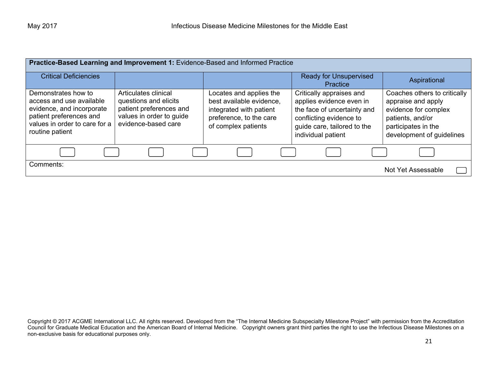| Practice-Based Learning and Improvement 1: Evidence-Based and Informed Practice                                                                             |                                                                                                                             |                                                                                                                                  |                                                                                                                                                                     |                                                                                                                                                    |
|-------------------------------------------------------------------------------------------------------------------------------------------------------------|-----------------------------------------------------------------------------------------------------------------------------|----------------------------------------------------------------------------------------------------------------------------------|---------------------------------------------------------------------------------------------------------------------------------------------------------------------|----------------------------------------------------------------------------------------------------------------------------------------------------|
| <b>Critical Deficiencies</b>                                                                                                                                |                                                                                                                             |                                                                                                                                  | Ready for Unsupervised<br>Practice                                                                                                                                  | Aspirational                                                                                                                                       |
| Demonstrates how to<br>access and use available<br>evidence, and incorporate<br>patient preferences and<br>values in order to care for a<br>routine patient | Articulates clinical<br>questions and elicits<br>patient preferences and<br>values in order to guide<br>evidence-based care | Locates and applies the<br>best available evidence.<br>integrated with patient<br>preference, to the care<br>of complex patients | Critically appraises and<br>applies evidence even in<br>the face of uncertainty and<br>conflicting evidence to<br>guide care, tailored to the<br>individual patient | Coaches others to critically<br>appraise and apply<br>evidence for complex<br>patients, and/or<br>participates in the<br>development of guidelines |
|                                                                                                                                                             |                                                                                                                             |                                                                                                                                  |                                                                                                                                                                     |                                                                                                                                                    |
| Comments:                                                                                                                                                   |                                                                                                                             |                                                                                                                                  |                                                                                                                                                                     | Not Yet Assessable                                                                                                                                 |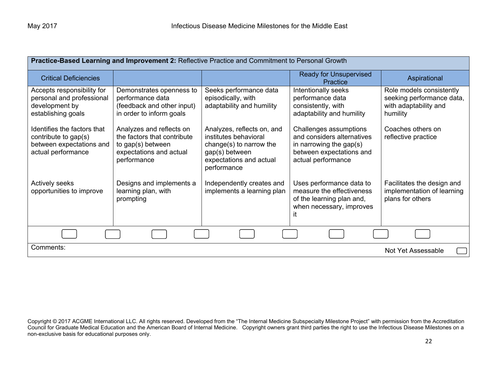| <b>Practice-Based Learning and Improvement 2: Reflective Practice and Commitment to Personal Growth</b> |                                                                                                                        |                                                                                                                                            |                                                                                                                                      |                                                                                            |
|---------------------------------------------------------------------------------------------------------|------------------------------------------------------------------------------------------------------------------------|--------------------------------------------------------------------------------------------------------------------------------------------|--------------------------------------------------------------------------------------------------------------------------------------|--------------------------------------------------------------------------------------------|
| <b>Critical Deficiencies</b>                                                                            |                                                                                                                        |                                                                                                                                            | <b>Ready for Unsupervised</b><br><b>Practice</b>                                                                                     | Aspirational                                                                               |
| Accepts responsibility for<br>personal and professional<br>development by<br>establishing goals         | Demonstrates openness to<br>performance data<br>(feedback and other input)<br>in order to inform goals                 | Seeks performance data<br>episodically, with<br>adaptability and humility                                                                  | Intentionally seeks<br>performance data<br>consistently, with<br>adaptability and humility                                           | Role models consistently<br>seeking performance data,<br>with adaptability and<br>humility |
| Identifies the factors that<br>contribute to gap(s)<br>between expectations and<br>actual performance   | Analyzes and reflects on<br>the factors that contribute<br>to gap(s) between<br>expectations and actual<br>performance | Analyzes, reflects on, and<br>institutes behavioral<br>change(s) to narrow the<br>gap(s) between<br>expectations and actual<br>performance | Challenges assumptions<br>and considers alternatives<br>in narrowing the gap $(s)$<br>between expectations and<br>actual performance | Coaches others on<br>reflective practice                                                   |
| <b>Actively seeks</b><br>opportunities to improve                                                       | Designs and implements a<br>learning plan, with<br>prompting                                                           | Independently creates and<br>implements a learning plan                                                                                    | Uses performance data to<br>measure the effectiveness<br>of the learning plan and,<br>when necessary, improves<br>ıt                 | Facilitates the design and<br>implementation of learning<br>plans for others               |
|                                                                                                         |                                                                                                                        |                                                                                                                                            |                                                                                                                                      |                                                                                            |
| Comments:                                                                                               |                                                                                                                        |                                                                                                                                            |                                                                                                                                      | Not Yet Assessable                                                                         |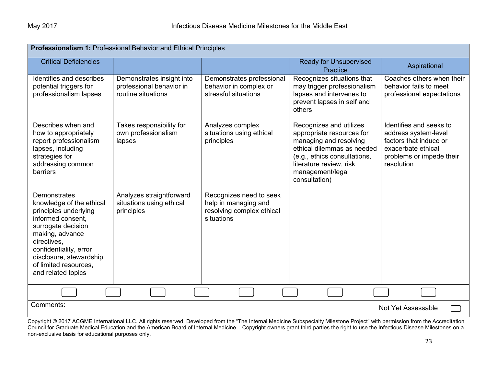| <b>Professionalism 1: Professional Behavior and Ethical Principles</b>                                                                                                                                                                                    |                                                                             |                                                                                            |                                                                                                                                                                                                              |                                                                                                                                           |  |
|-----------------------------------------------------------------------------------------------------------------------------------------------------------------------------------------------------------------------------------------------------------|-----------------------------------------------------------------------------|--------------------------------------------------------------------------------------------|--------------------------------------------------------------------------------------------------------------------------------------------------------------------------------------------------------------|-------------------------------------------------------------------------------------------------------------------------------------------|--|
| <b>Critical Deficiencies</b>                                                                                                                                                                                                                              |                                                                             |                                                                                            | <b>Ready for Unsupervised</b><br><b>Practice</b>                                                                                                                                                             | Aspirational                                                                                                                              |  |
| Identifies and describes<br>potential triggers for<br>professionalism lapses                                                                                                                                                                              | Demonstrates insight into<br>professional behavior in<br>routine situations | Demonstrates professional<br>behavior in complex or<br>stressful situations                | Recognizes situations that<br>may trigger professionalism<br>lapses and intervenes to<br>prevent lapses in self and<br>others                                                                                | Coaches others when their<br>behavior fails to meet<br>professional expectations                                                          |  |
| Describes when and<br>how to appropriately<br>report professionalism<br>lapses, including<br>strategies for<br>addressing common<br>barriers                                                                                                              | Takes responsibility for<br>own professionalism<br>lapses                   | Analyzes complex<br>situations using ethical<br>principles                                 | Recognizes and utilizes<br>appropriate resources for<br>managing and resolving<br>ethical dilemmas as needed<br>(e.g., ethics consultations,<br>literature review, risk<br>management/legal<br>consultation) | Identifies and seeks to<br>address system-level<br>factors that induce or<br>exacerbate ethical<br>problems or impede their<br>resolution |  |
| <b>Demonstrates</b><br>knowledge of the ethical<br>principles underlying<br>informed consent,<br>surrogate decision<br>making, advance<br>directives,<br>confidentiality, error<br>disclosure, stewardship<br>of limited resources,<br>and related topics | Analyzes straightforward<br>situations using ethical<br>principles          | Recognizes need to seek<br>help in managing and<br>resolving complex ethical<br>situations |                                                                                                                                                                                                              |                                                                                                                                           |  |
|                                                                                                                                                                                                                                                           |                                                                             |                                                                                            |                                                                                                                                                                                                              |                                                                                                                                           |  |
| Comments:                                                                                                                                                                                                                                                 | Not Yet Assessable                                                          |                                                                                            |                                                                                                                                                                                                              |                                                                                                                                           |  |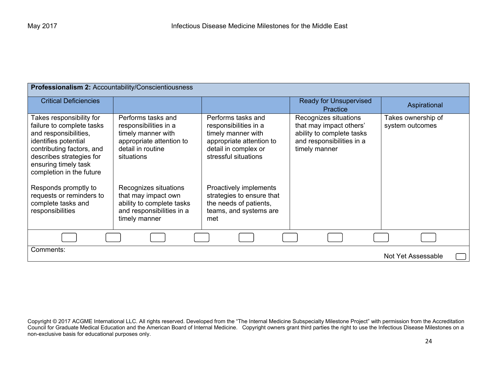| Professionalism 2: Accountability/Conscientiousness                                                                                                                                                                 |                                                                                                                                  |                                                                                                                                               |                                                                                                                             |                                       |
|---------------------------------------------------------------------------------------------------------------------------------------------------------------------------------------------------------------------|----------------------------------------------------------------------------------------------------------------------------------|-----------------------------------------------------------------------------------------------------------------------------------------------|-----------------------------------------------------------------------------------------------------------------------------|---------------------------------------|
| <b>Critical Deficiencies</b>                                                                                                                                                                                        |                                                                                                                                  |                                                                                                                                               | <b>Ready for Unsupervised</b><br><b>Practice</b>                                                                            | Aspirational                          |
| Takes responsibility for<br>failure to complete tasks<br>and responsibilities,<br>identifies potential<br>contributing factors, and<br>describes strategies for<br>ensuring timely task<br>completion in the future | Performs tasks and<br>responsibilities in a<br>timely manner with<br>appropriate attention to<br>detail in routine<br>situations | Performs tasks and<br>responsibilities in a<br>timely manner with<br>appropriate attention to<br>detail in complex or<br>stressful situations | Recognizes situations<br>that may impact others'<br>ability to complete tasks<br>and responsibilities in a<br>timely manner | Takes ownership of<br>system outcomes |
| Responds promptly to<br>requests or reminders to<br>complete tasks and<br>responsibilities                                                                                                                          | Recognizes situations<br>that may impact own<br>ability to complete tasks<br>and responsibilities in a<br>timely manner          | Proactively implements<br>strategies to ensure that<br>the needs of patients,<br>teams, and systems are<br>met                                |                                                                                                                             |                                       |
|                                                                                                                                                                                                                     |                                                                                                                                  |                                                                                                                                               |                                                                                                                             |                                       |
| Comments:                                                                                                                                                                                                           |                                                                                                                                  |                                                                                                                                               |                                                                                                                             | Not Yet Assessable                    |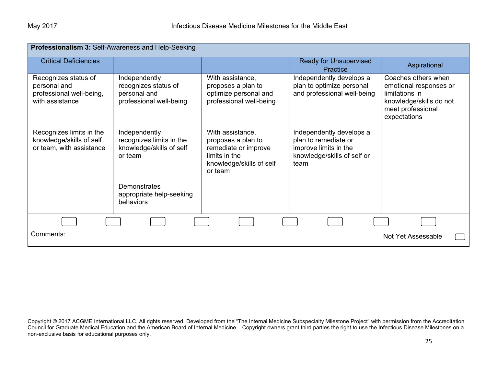| Professionalism 3: Self-Awareness and Help-Seeking                                  |                                                                                  |                                                                                                                        |                                                                                                                  |                                                                                                                                 |
|-------------------------------------------------------------------------------------|----------------------------------------------------------------------------------|------------------------------------------------------------------------------------------------------------------------|------------------------------------------------------------------------------------------------------------------|---------------------------------------------------------------------------------------------------------------------------------|
| <b>Critical Deficiencies</b>                                                        |                                                                                  |                                                                                                                        | <b>Ready for Unsupervised</b><br>Practice                                                                        | Aspirational                                                                                                                    |
| Recognizes status of<br>personal and<br>professional well-being,<br>with assistance | Independently<br>recognizes status of<br>personal and<br>professional well-being | With assistance,<br>proposes a plan to<br>optimize personal and<br>professional well-being                             | Independently develops a<br>plan to optimize personal<br>and professional well-being                             | Coaches others when<br>emotional responses or<br>limitations in<br>knowledge/skills do not<br>meet professional<br>expectations |
| Recognizes limits in the<br>knowledge/skills of self<br>or team, with assistance    | Independently<br>recognizes limits in the<br>knowledge/skills of self<br>or team | With assistance,<br>proposes a plan to<br>remediate or improve<br>limits in the<br>knowledge/skills of self<br>or team | Independently develops a<br>plan to remediate or<br>improve limits in the<br>knowledge/skills of self or<br>team |                                                                                                                                 |
|                                                                                     | Demonstrates<br>appropriate help-seeking<br>behaviors                            |                                                                                                                        |                                                                                                                  |                                                                                                                                 |
|                                                                                     |                                                                                  |                                                                                                                        |                                                                                                                  |                                                                                                                                 |
| Comments:                                                                           |                                                                                  |                                                                                                                        |                                                                                                                  | Not Yet Assessable                                                                                                              |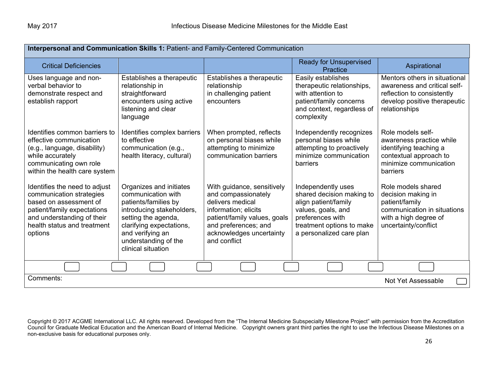| Interpersonal and Communication Skills 1: Patient- and Family-Centered Communication                                                                                                       |                                                                                                                                                                                                                         |                                                                                                                                                                                                   |                                                                                                                                                                            |                                                                                                                                              |
|--------------------------------------------------------------------------------------------------------------------------------------------------------------------------------------------|-------------------------------------------------------------------------------------------------------------------------------------------------------------------------------------------------------------------------|---------------------------------------------------------------------------------------------------------------------------------------------------------------------------------------------------|----------------------------------------------------------------------------------------------------------------------------------------------------------------------------|----------------------------------------------------------------------------------------------------------------------------------------------|
| <b>Critical Deficiencies</b>                                                                                                                                                               |                                                                                                                                                                                                                         |                                                                                                                                                                                                   | <b>Ready for Unsupervised</b><br>Practice                                                                                                                                  | Aspirational                                                                                                                                 |
| Uses language and non-<br>verbal behavior to<br>demonstrate respect and<br>establish rapport                                                                                               | Establishes a therapeutic<br>relationship in<br>straightforward<br>encounters using active<br>listening and clear<br>language                                                                                           | Establishes a therapeutic<br>relationship<br>in challenging patient<br>encounters                                                                                                                 | Easily establishes<br>therapeutic relationships,<br>with attention to<br>patient/family concerns<br>and context, regardless of<br>complexity                               | Mentors others in situational<br>awareness and critical self-<br>reflection to consistently<br>develop positive therapeutic<br>relationships |
| Identifies common barriers to<br>effective communication<br>(e.g., language, disability)<br>while accurately<br>communicating own role<br>within the health care system                    | Identifies complex barriers<br>to effective<br>communication (e.g.,<br>health literacy, cultural)                                                                                                                       | When prompted, reflects<br>on personal biases while<br>attempting to minimize<br>communication barriers                                                                                           | Independently recognizes<br>personal biases while<br>attempting to proactively<br>minimize communication<br>barriers                                                       | Role models self-<br>awareness practice while<br>identifying teaching a<br>contextual approach to<br>minimize communication<br>barriers      |
| Identifies the need to adjust<br>communication strategies<br>based on assessment of<br>patient/family expectations<br>and understanding of their<br>health status and treatment<br>options | Organizes and initiates<br>communication with<br>patients/families by<br>introducing stakeholders,<br>setting the agenda,<br>clarifying expectations,<br>and verifying an<br>understanding of the<br>clinical situation | With guidance, sensitively<br>and compassionately<br>delivers medical<br>information; elicits<br>patient/family values, goals<br>and preferences; and<br>acknowledges uncertainty<br>and conflict | Independently uses<br>shared decision making to<br>align patient/family<br>values, goals, and<br>preferences with<br>treatment options to make<br>a personalized care plan | Role models shared<br>decision making in<br>patient/family<br>communication in situations<br>with a high degree of<br>uncertainty/conflict   |
|                                                                                                                                                                                            |                                                                                                                                                                                                                         |                                                                                                                                                                                                   |                                                                                                                                                                            |                                                                                                                                              |
| Comments:                                                                                                                                                                                  |                                                                                                                                                                                                                         |                                                                                                                                                                                                   |                                                                                                                                                                            | Not Yet Assessable                                                                                                                           |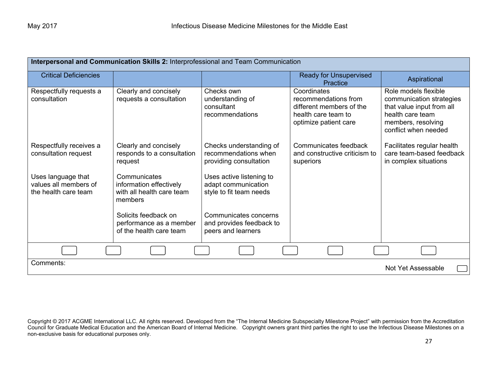| Interpersonal and Communication Skills 2: Interprofessional and Team Communication |                                                                                 |                                                                            |                                                                                                                 |                                                                                                                                                 |
|------------------------------------------------------------------------------------|---------------------------------------------------------------------------------|----------------------------------------------------------------------------|-----------------------------------------------------------------------------------------------------------------|-------------------------------------------------------------------------------------------------------------------------------------------------|
| <b>Critical Deficiencies</b>                                                       |                                                                                 |                                                                            | <b>Ready for Unsupervised</b><br>Practice                                                                       | Aspirational                                                                                                                                    |
| Respectfully requests a<br>consultation                                            | Clearly and concisely<br>requests a consultation                                | Checks own<br>understanding of<br>consultant<br>recommendations            | Coordinates<br>recommendations from<br>different members of the<br>health care team to<br>optimize patient care | Role models flexible<br>communication strategies<br>that value input from all<br>health care team<br>members, resolving<br>conflict when needed |
| Respectfully receives a<br>consultation request                                    | Clearly and concisely<br>responds to a consultation<br>request                  | Checks understanding of<br>recommendations when<br>providing consultation  | Communicates feedback<br>and constructive criticism to<br>superiors                                             | Facilitates regular health<br>care team-based feedback<br>in complex situations                                                                 |
| Uses language that<br>values all members of<br>the health care team                | Communicates<br>information effectively<br>with all health care team<br>members | Uses active listening to<br>adapt communication<br>style to fit team needs |                                                                                                                 |                                                                                                                                                 |
|                                                                                    | Solicits feedback on<br>performance as a member<br>of the health care team      | Communicates concerns<br>and provides feedback to<br>peers and learners    |                                                                                                                 |                                                                                                                                                 |
|                                                                                    |                                                                                 |                                                                            |                                                                                                                 |                                                                                                                                                 |
| Comments:                                                                          |                                                                                 |                                                                            |                                                                                                                 | Not Yet Assessable                                                                                                                              |